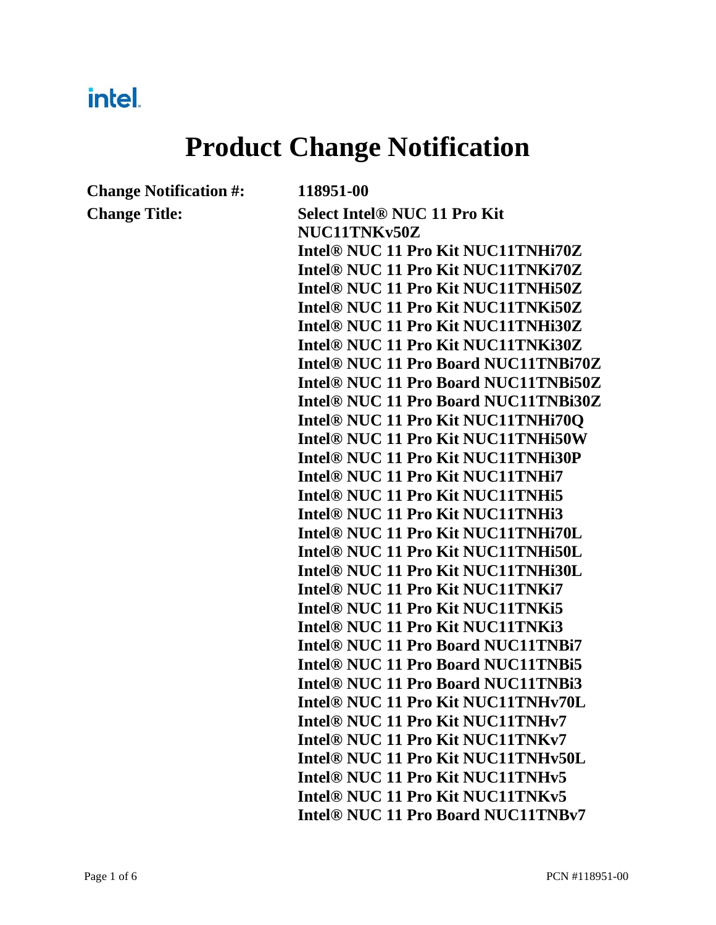# intel.

# **Product Change Notification**

**Change Notification #: 118951-00**

**Change Title: Select Intel® NUC 11 Pro Kit NUC11TNKv50Z Intel® NUC 11 Pro Kit NUC11TNHi70Z Intel® NUC 11 Pro Kit NUC11TNKi70Z Intel® NUC 11 Pro Kit NUC11TNHi50Z Intel® NUC 11 Pro Kit NUC11TNKi50Z Intel® NUC 11 Pro Kit NUC11TNHi30Z Intel® NUC 11 Pro Kit NUC11TNKi30Z Intel® NUC 11 Pro Board NUC11TNBi70Z Intel® NUC 11 Pro Board NUC11TNBi50Z Intel® NUC 11 Pro Board NUC11TNBi30Z Intel® NUC 11 Pro Kit NUC11TNHi70Q Intel® NUC 11 Pro Kit NUC11TNHi50W Intel® NUC 11 Pro Kit NUC11TNHi30P Intel® NUC 11 Pro Kit NUC11TNHi7 Intel® NUC 11 Pro Kit NUC11TNHi5 Intel® NUC 11 Pro Kit NUC11TNHi3 Intel® NUC 11 Pro Kit NUC11TNHi70L Intel® NUC 11 Pro Kit NUC11TNHi50L Intel® NUC 11 Pro Kit NUC11TNHi30L Intel® NUC 11 Pro Kit NUC11TNKi7 Intel® NUC 11 Pro Kit NUC11TNKi5 Intel® NUC 11 Pro Kit NUC11TNKi3 Intel® NUC 11 Pro Board NUC11TNBi7 Intel® NUC 11 Pro Board NUC11TNBi5 Intel® NUC 11 Pro Board NUC11TNBi3 Intel® NUC 11 Pro Kit NUC11TNHv70L Intel® NUC 11 Pro Kit NUC11TNHv7 Intel® NUC 11 Pro Kit NUC11TNKv7 Intel® NUC 11 Pro Kit NUC11TNHv50L Intel® NUC 11 Pro Kit NUC11TNHv5 Intel® NUC 11 Pro Kit NUC11TNKv5 Intel® NUC 11 Pro Board NUC11TNBv7**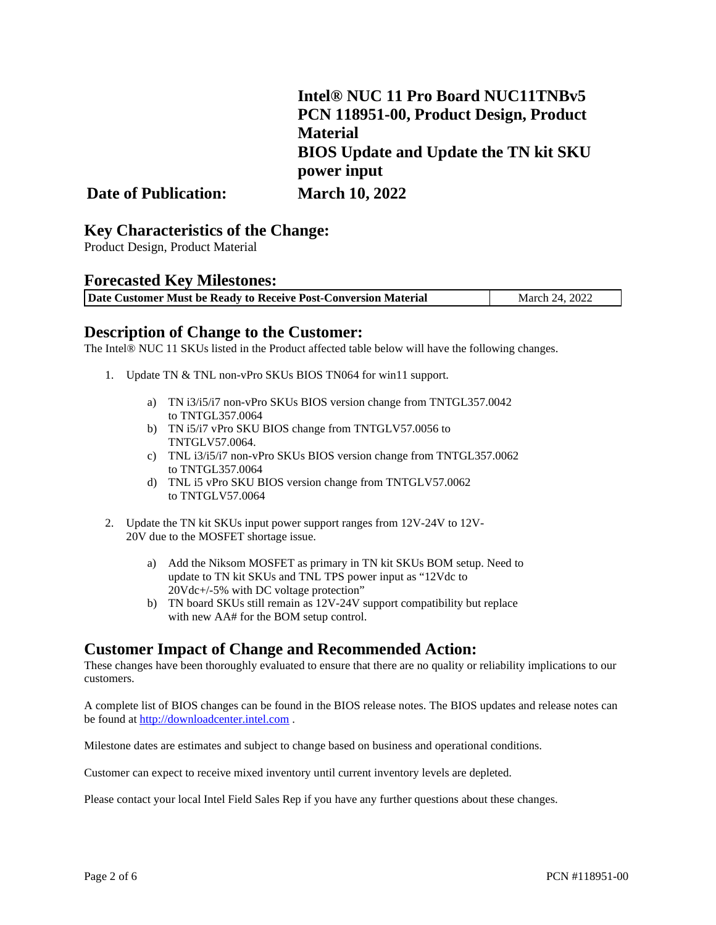|                             | Intel® NUC 11 Pro Board NUC11TNBv5           |
|-----------------------------|----------------------------------------------|
|                             | PCN 118951-00, Product Design, Product       |
|                             | <b>Material</b>                              |
|                             | <b>BIOS Update and Update the TN kit SKU</b> |
|                             | power input                                  |
| <b>Date of Publication:</b> | <b>March 10, 2022</b>                        |

# **Key Characteristics of the Change:** Product Design, Product Material

### **Forecasted Key Milestones:**

| Date Customer Must be Ready to Receive Post-Conversion Material | March 24, 2022 |
|-----------------------------------------------------------------|----------------|

### **Description of Change to the Customer:**

The Intel® NUC 11 SKUs listed in the Product affected table below will have the following changes.

- 1. Update TN & TNL non-vPro SKUs BIOS TN064 for win11 support.
	- a) TN i3/i5/i7 non-vPro SKUs BIOS version change from TNTGL357.0042 to TNTGL357.0064
	- b) TN i5/i7 vPro SKU BIOS change from TNTGLV57.0056 to TNTGLV57.0064.
	- c) TNL i3/i5/i7 non-vPro SKUs BIOS version change from TNTGL357.0062 to TNTGL357.0064
	- d) TNL i5 vPro SKU BIOS version change from TNTGLV57.0062 to TNTGLV57.0064
- 2. Update the TN kit SKUs input power support ranges from 12V-24V to 12V-20V due to the MOSFET shortage issue.
	- a) Add the Niksom MOSFET as primary in TN kit SKUs BOM setup. Need to update to TN kit SKUs and TNL TPS power input as "12Vdc to 20Vdc+/-5% with DC voltage protection"
	- b) TN board SKUs still remain as 12V-24V support compatibility but replace with new AA# for the BOM setup control.

**Customer Impact of Change and Recommended Action:**<br>These changes have been thoroughly evaluated to ensure that there are no quality or reliability implications to our customers.

A complete list of BIOS changes can be found in the BIOS release notes. The BIOS updates and release notes can be found a[t http://downloadcenter.intel.com](http://downloadcenter.intel.com/) .

Milestone dates are estimates and subject to change based on business and operational conditions.

Customer can expect to receive mixed inventory until current inventory levels are depleted.

Please contact your local Intel Field Sales Rep if you have any further questions about these changes.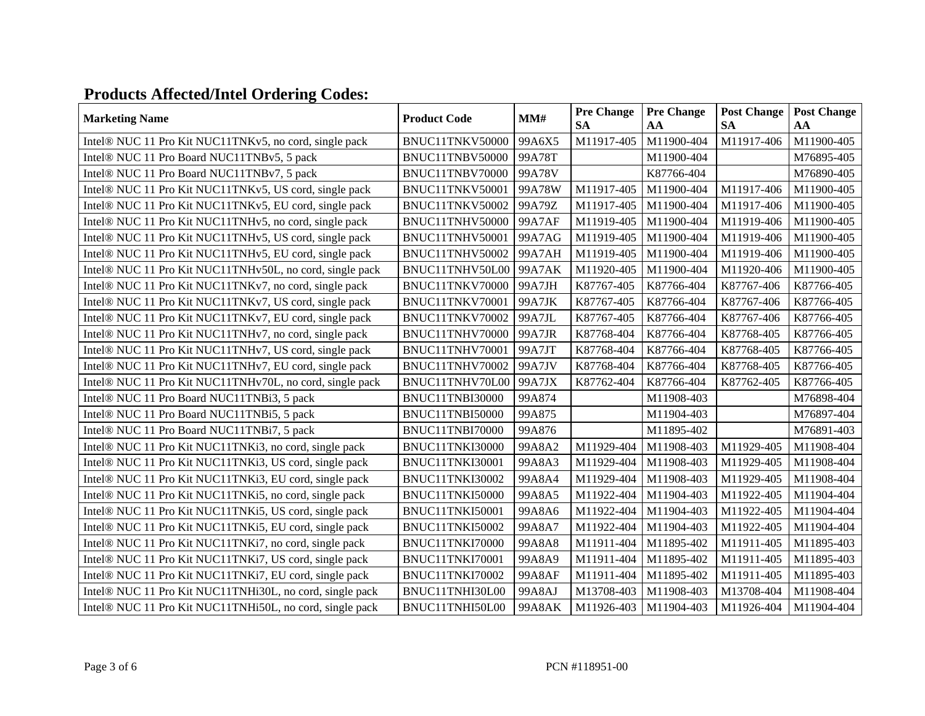## **Products Affected/Intel Ordering Codes:**

| <b>Marketing Name</b>                                              | <b>Product Code</b> | MM#           | <b>Pre Change</b><br><b>SA</b> | <b>Pre Change</b><br>AA | <b>Post Change</b><br><b>SA</b> | <b>Post Change</b><br>AA |
|--------------------------------------------------------------------|---------------------|---------------|--------------------------------|-------------------------|---------------------------------|--------------------------|
| Intel® NUC 11 Pro Kit NUC11TNKv5, no cord, single pack             | BNUC11TNKV50000     | 99A6X5        | M11917-405                     | M11900-404              | M11917-406                      | M11900-405               |
| Intel® NUC 11 Pro Board NUC11TNBv5, 5 pack                         | BNUC11TNBV50000     | 99A78T        |                                | M11900-404              |                                 | M76895-405               |
| Intel® NUC 11 Pro Board NUC11TNBv7, 5 pack                         | BNUC11TNBV70000     | 99A78V        |                                | K87766-404              |                                 | M76890-405               |
| Intel® NUC 11 Pro Kit NUC11TNKv5, US cord, single pack             | BNUC11TNKV50001     | 99A78W        | M11917-405                     | M11900-404              | M11917-406                      | M11900-405               |
| Intel® NUC 11 Pro Kit NUC11TNKv5, EU cord, single pack             | BNUC11TNKV50002     | 99A79Z        | M11917-405                     | M11900-404              | M11917-406                      | M11900-405               |
| Intel® NUC 11 Pro Kit NUC11TNHv5, no cord, single pack             | BNUC11TNHV50000     | 99A7AF        | M11919-405                     | M11900-404              | M11919-406                      | M11900-405               |
| Intel® NUC 11 Pro Kit NUC11TNHv5, US cord, single pack             | BNUC11TNHV50001     | 99A7AG        | M11919-405                     | M11900-404              | M11919-406                      | M11900-405               |
| Intel <sup>®</sup> NUC 11 Pro Kit NUC11TNHv5, EU cord, single pack | BNUC11TNHV50002     | 99A7AH        | M11919-405                     | M11900-404              | M11919-406                      | M11900-405               |
| Intel® NUC 11 Pro Kit NUC11TNHv50L, no cord, single pack           | BNUC11TNHV50L00     | <b>99A7AK</b> | M11920-405                     | M11900-404              | M11920-406                      | M11900-405               |
| Intel® NUC 11 Pro Kit NUC11TNKv7, no cord, single pack             | BNUC11TNKV70000     | 99A7JH        | K87767-405                     | K87766-404              | K87767-406                      | K87766-405               |
| Intel® NUC 11 Pro Kit NUC11TNKv7, US cord, single pack             | BNUC11TNKV70001     | 99A7JK        | K87767-405                     | K87766-404              | K87767-406                      | K87766-405               |
| Intel® NUC 11 Pro Kit NUC11TNKv7, EU cord, single pack             | BNUC11TNKV70002     | 99A7JL        | K87767-405                     | K87766-404              | K87767-406                      | K87766-405               |
| Intel® NUC 11 Pro Kit NUC11TNHv7, no cord, single pack             | BNUC11TNHV70000     | 99A7JR        | K87768-404                     | K87766-404              | K87768-405                      | K87766-405               |
| Intel® NUC 11 Pro Kit NUC11TNHv7, US cord, single pack             | BNUC11TNHV70001     | 99A7JT        | K87768-404                     | K87766-404              | K87768-405                      | K87766-405               |
| Intel® NUC 11 Pro Kit NUC11TNHv7, EU cord, single pack             | BNUC11TNHV70002     | 99A7JV        | K87768-404                     | K87766-404              | K87768-405                      | K87766-405               |
| Intel® NUC 11 Pro Kit NUC11TNHv70L, no cord, single pack           | BNUC11TNHV70L00     | 99A7JX        | K87762-404                     | K87766-404              | K87762-405                      | K87766-405               |
| Intel® NUC 11 Pro Board NUC11TNBi3, 5 pack                         | BNUC11TNBI30000     | 99A874        |                                | M11908-403              |                                 | M76898-404               |
| Intel® NUC 11 Pro Board NUC11TNBi5, 5 pack                         | BNUC11TNBI50000     | 99A875        |                                | M11904-403              |                                 | M76897-404               |
| Intel® NUC 11 Pro Board NUC11TNBi7, 5 pack                         | BNUC11TNBI70000     | 99A876        |                                | M11895-402              |                                 | M76891-403               |
| Intel <sup>®</sup> NUC 11 Pro Kit NUC11TNKi3, no cord, single pack | BNUC11TNKI30000     | 99A8A2        | M11929-404                     | M11908-403              | M11929-405                      | M11908-404               |
| Intel® NUC 11 Pro Kit NUC11TNKi3, US cord, single pack             | BNUC11TNKI30001     | 99A8A3        | M11929-404                     | M11908-403              | M11929-405                      | M11908-404               |
| Intel® NUC 11 Pro Kit NUC11TNKi3, EU cord, single pack             | BNUC11TNKI30002     | 99A8A4        | M11929-404                     | M11908-403              | M11929-405                      | M11908-404               |
| Intel® NUC 11 Pro Kit NUC11TNKi5, no cord, single pack             | BNUC11TNKI50000     | 99A8A5        | M11922-404                     | M11904-403              | M11922-405                      | M11904-404               |
| Intel® NUC 11 Pro Kit NUC11TNKi5, US cord, single pack             | BNUC11TNKI50001     | 99A8A6        | M11922-404                     | M11904-403              | M11922-405                      | M11904-404               |
| Intel® NUC 11 Pro Kit NUC11TNKi5, EU cord, single pack             | BNUC11TNKI50002     | 99A8A7        | M11922-404                     | M11904-403              | M11922-405                      | M11904-404               |
| Intel® NUC 11 Pro Kit NUC11TNKi7, no cord, single pack             | BNUC11TNKI70000     | 99A8A8        | M11911-404                     | M11895-402              | M11911-405                      | M11895-403               |
| Intel® NUC 11 Pro Kit NUC11TNKi7, US cord, single pack             | BNUC11TNKI70001     | 99A8A9        | M11911-404                     | M11895-402              | M11911-405                      | M11895-403               |
| Intel® NUC 11 Pro Kit NUC11TNKi7, EU cord, single pack             | BNUC11TNKI70002     | <b>99A8AF</b> | M11911-404                     | M11895-402              | M11911-405                      | M11895-403               |
| Intel® NUC 11 Pro Kit NUC11TNHi30L, no cord, single pack           | BNUC11TNHI30L00     | 99A8AJ        | M13708-403                     | M11908-403              | M13708-404                      | M11908-404               |
| Intel® NUC 11 Pro Kit NUC11TNHi50L, no cord, single pack           | BNUC11TNHI50L00     | <b>99A8AK</b> | M11926-403                     | M11904-403              | M11926-404                      | M11904-404               |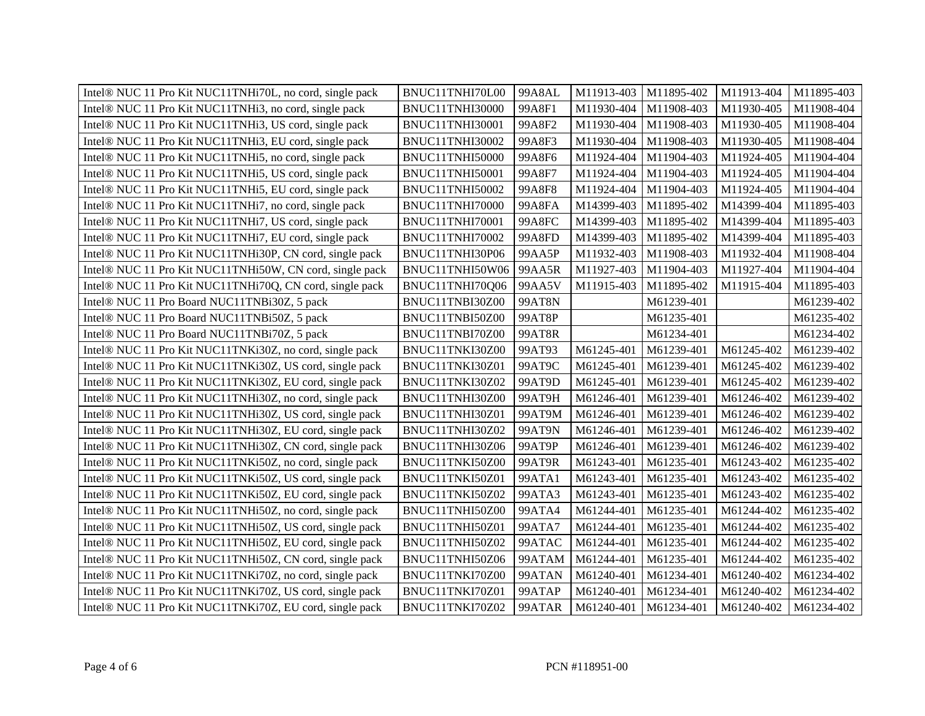| Intel <sup>®</sup> NUC 11 Pro Kit NUC11TNHi70L, no cord, single pack | BNUC11TNHI70L00 | 99A8AL        | M11913-403 | M11895-402 | M11913-404 | M11895-403 |
|----------------------------------------------------------------------|-----------------|---------------|------------|------------|------------|------------|
| Intel® NUC 11 Pro Kit NUC11TNHi3, no cord, single pack               | BNUC11TNHI30000 | 99A8F1        | M11930-404 | M11908-403 | M11930-405 | M11908-404 |
| Intel® NUC 11 Pro Kit NUC11TNHi3, US cord, single pack               | BNUC11TNHI30001 | 99A8F2        | M11930-404 | M11908-403 | M11930-405 | M11908-404 |
| Intel® NUC 11 Pro Kit NUC11TNHi3, EU cord, single pack               | BNUC11TNHI30002 | 99A8F3        | M11930-404 | M11908-403 | M11930-405 | M11908-404 |
| Intel® NUC 11 Pro Kit NUC11TNHi5, no cord, single pack               | BNUC11TNHI50000 | 99A8F6        | M11924-404 | M11904-403 | M11924-405 | M11904-404 |
| Intel® NUC 11 Pro Kit NUC11TNHi5, US cord, single pack               | BNUC11TNHI50001 | 99A8F7        | M11924-404 | M11904-403 | M11924-405 | M11904-404 |
| Intel® NUC 11 Pro Kit NUC11TNHi5, EU cord, single pack               | BNUC11TNHI50002 | 99A8F8        | M11924-404 | M11904-403 | M11924-405 | M11904-404 |
| Intel® NUC 11 Pro Kit NUC11TNHi7, no cord, single pack               | BNUC11TNHI70000 | 99A8FA        | M14399-403 | M11895-402 | M14399-404 | M11895-403 |
| Intel® NUC 11 Pro Kit NUC11TNHi7, US cord, single pack               | BNUC11TNHI70001 | <b>99A8FC</b> | M14399-403 | M11895-402 | M14399-404 | M11895-403 |
| Intel® NUC 11 Pro Kit NUC11TNHi7, EU cord, single pack               | BNUC11TNHI70002 | 99A8FD        | M14399-403 | M11895-402 | M14399-404 | M11895-403 |
| Intel® NUC 11 Pro Kit NUC11TNHi30P, CN cord, single pack             | BNUC11TNHI30P06 | 99AA5P        | M11932-403 | M11908-403 | M11932-404 | M11908-404 |
| Intel <sup>®</sup> NUC 11 Pro Kit NUC11TNHi50W, CN cord, single pack | BNUC11TNHI50W06 | 99AA5R        | M11927-403 | M11904-403 | M11927-404 | M11904-404 |
| Intel® NUC 11 Pro Kit NUC11TNHi70Q, CN cord, single pack             | BNUC11TNHI70Q06 | 99AA5V        | M11915-403 | M11895-402 | M11915-404 | M11895-403 |
| Intel® NUC 11 Pro Board NUC11TNBi30Z, 5 pack                         | BNUC11TNBI30Z00 | <b>99AT8N</b> |            | M61239-401 |            | M61239-402 |
| Intel® NUC 11 Pro Board NUC11TNBi50Z, 5 pack                         | BNUC11TNBI50Z00 | 99AT8P        |            | M61235-401 |            | M61235-402 |
| Intel® NUC 11 Pro Board NUC11TNBi70Z, 5 pack                         | BNUC11TNBI70Z00 | 99AT8R        |            | M61234-401 |            | M61234-402 |
| Intel® NUC 11 Pro Kit NUC11TNKi30Z, no cord, single pack             | BNUC11TNKI30Z00 | 99AT93        | M61245-401 | M61239-401 | M61245-402 | M61239-402 |
| Intel® NUC 11 Pro Kit NUC11TNKi30Z, US cord, single pack             | BNUC11TNKI30Z01 | 99AT9C        | M61245-401 | M61239-401 | M61245-402 | M61239-402 |
| Intel® NUC 11 Pro Kit NUC11TNKi30Z, EU cord, single pack             | BNUC11TNKI30Z02 | 99AT9D        | M61245-401 | M61239-401 | M61245-402 | M61239-402 |
| Intel <sup>®</sup> NUC 11 Pro Kit NUC11TNHi30Z, no cord, single pack | BNUC11TNHI30Z00 | 99AT9H        | M61246-401 | M61239-401 | M61246-402 | M61239-402 |
| Intel® NUC 11 Pro Kit NUC11TNHi30Z, US cord, single pack             | BNUC11TNHI30Z01 | 99AT9M        | M61246-401 | M61239-401 | M61246-402 | M61239-402 |
| Intel® NUC 11 Pro Kit NUC11TNHi30Z, EU cord, single pack             | BNUC11TNHI30Z02 | 99AT9N        | M61246-401 | M61239-401 | M61246-402 | M61239-402 |
| Intel <sup>®</sup> NUC 11 Pro Kit NUC11TNHi30Z, CN cord, single pack | BNUC11TNHI30Z06 | 99AT9P        | M61246-401 | M61239-401 | M61246-402 | M61239-402 |
| Intel® NUC 11 Pro Kit NUC11TNKi50Z, no cord, single pack             | BNUC11TNKI50Z00 | 99AT9R        | M61243-401 | M61235-401 | M61243-402 | M61235-402 |
| Intel® NUC 11 Pro Kit NUC11TNKi50Z, US cord, single pack             | BNUC11TNKI50Z01 | 99ATA1        | M61243-401 | M61235-401 | M61243-402 | M61235-402 |
| Intel® NUC 11 Pro Kit NUC11TNKi50Z, EU cord, single pack             | BNUC11TNKI50Z02 | 99ATA3        | M61243-401 | M61235-401 | M61243-402 | M61235-402 |
| Intel <sup>®</sup> NUC 11 Pro Kit NUC11TNHi50Z, no cord, single pack | BNUC11TNHI50Z00 | 99ATA4        | M61244-401 | M61235-401 | M61244-402 | M61235-402 |
| Intel® NUC 11 Pro Kit NUC11TNHi50Z, US cord, single pack             | BNUC11TNHI50Z01 | 99ATA7        | M61244-401 | M61235-401 | M61244-402 | M61235-402 |
| Intel® NUC 11 Pro Kit NUC11TNHi50Z, EU cord, single pack             | BNUC11TNHI50Z02 | 99ATAC        | M61244-401 | M61235-401 | M61244-402 | M61235-402 |
| Intel® NUC 11 Pro Kit NUC11TNHi50Z, CN cord, single pack             | BNUC11TNHI50Z06 | 99ATAM        | M61244-401 | M61235-401 | M61244-402 | M61235-402 |
| Intel <sup>®</sup> NUC 11 Pro Kit NUC11TNKi70Z, no cord, single pack | BNUC11TNKI70Z00 | 99ATAN        | M61240-401 | M61234-401 | M61240-402 | M61234-402 |
| Intel® NUC 11 Pro Kit NUC11TNKi70Z, US cord, single pack             | BNUC11TNKI70Z01 | 99ATAP        | M61240-401 | M61234-401 | M61240-402 | M61234-402 |
| Intel® NUC 11 Pro Kit NUC11TNKi70Z, EU cord, single pack             | BNUC11TNKI70Z02 | 99ATAR        | M61240-401 | M61234-401 | M61240-402 | M61234-402 |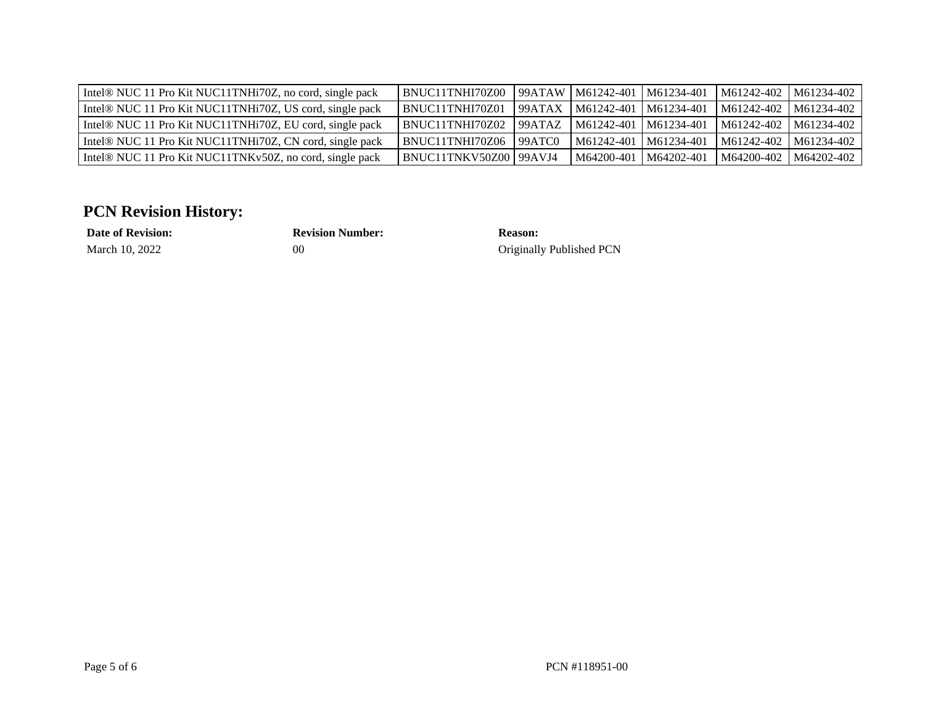| Intel® NUC 11 Pro Kit NUC11TNHi70Z, no cord, single pack             | BNUC11TNHI70Z00          | 99ATAW             | M61242-401   M61234-401        |            | M61242-402 | M61234-402 |
|----------------------------------------------------------------------|--------------------------|--------------------|--------------------------------|------------|------------|------------|
| Intel® NUC 11 Pro Kit NUC11TNHi70Z, US cord, single pack             | <b>BNUC11TNHI70Z01</b>   | 99ATAX             | $M61242-401$ $M61234-401$      |            | M61242-402 | M61234-402 |
| Intel® NUC 11 Pro Kit NUC11TNHi70Z, EU cord, single pack             | BNUC11TNHI70Z02          | 99ATAZ             | $\mid$ M61242-401   M61234-401 |            | M61242-402 | M61234-402 |
| Intel <sup>®</sup> NUC 11 Pro Kit NUC11TNHi70Z, CN cord, single pack | BNUC11TNHI70Z06          | 99ATC <sub>0</sub> | M61242-401   M61234-401        |            | M61242-402 | M61234-402 |
| Intel® NUC 11 Pro Kit NUC11TNKv50Z, no cord, single pack             | BNUC11TNKV50Z00   99AVJ4 |                    | M64200-401                     | M64202-401 | M64200-402 | M64202-402 |

## **PCN Revision History:**

**Date of Revision: Revision Number: Reason:**

March 10, 2022 00 00 Originally Published PCN